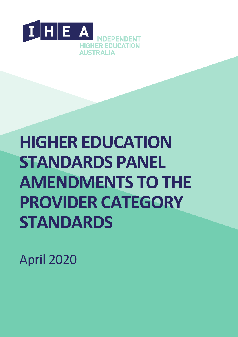

# **HIGHER EDUCATION STANDARDS PANEL AMENDMENTS TO THE PROVIDER CATEGORY STANDARDS**

April 2020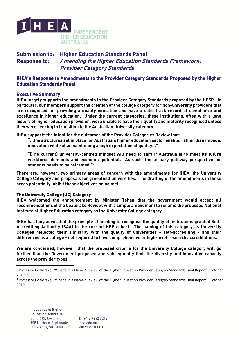

# Submission to: Higher Education Standards Panel Response to: Amending the Higher Education Standards Framework: Provider Category Standards

# IHEA's Response to Amendments to the Provider Category Standards Proposed by the Higher Education Standards Panel

## Executive Summary

IHEA largely supports the amendments to the Provider Category Standards proposed by the HESP. In particular, our members support the creation of the college category for non-university providers that are recognised for providing a quality education and have a solid track record of compliance and excellence in higher education. Under the current categories, these institutions, often with a long history of higher education provision, were unable to have their quality and maturity recognised unless they were seeking to transition to the Australian University category.

IHEA supports the intent for the outcomes of the Provider Categories Review that:

"…the structures set in place for Australia's higher education sector enable, rather than impede, innovation while also maintaining a high expectation of quality..." $^\mathsf{1}$ 

"[The current] university-centred mindset will need to shift if Australia is to meet its future workforce demands and economic potential. As such, the tertiary pathway perspective for students needs to be reframed."<sup>2</sup>

There are, however, two primary areas of concern with the amendments for IHEA, the University College Category and proposals for greenfield universities. The drafting of the amendments in these areas potentially inhibit these objectives being met.

## The University College (UC) Category

IHEA welcomed the announcement by Minister Tehan that the government would accept all recommendations of the Coaldrake Review, with a simple amendment to rename the proposed National Institute of Higher Education category as the University College category.

IHEA has long advocated the principle of needing to recognise the quality of institutions granted Self-Accrediting Authority (SAA) in the current HEP cohort. The naming of this category as University Colleges reflected their similarity with the quality of universities - self-accrediting - and their differences as a college - not required to have comprehensive or high-level research accreditations.

We are concerned, however, that the proposed criteria for the University College category will go further than the Government proposed and subsequently limit the diversity and innovative capacity across the provider types.

<sup>1</sup> Professor Coaldrake, "What's in a Name? Review of the Higher Education Provider Category Standards Final Report", October 2019, p. 10.

<sup>&</sup>lt;sup>2</sup> Professor Coaldrake, "What's in a Name? Review of the Higher Education Provider Category Standards Final Report", October 2019, p. 11.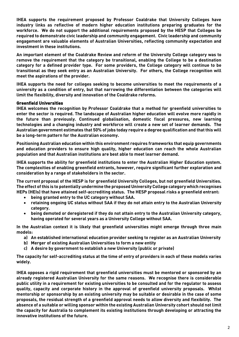IHEA supports the requirement proposed by Professor Coaldrake that University Colleges have industry links as reflective of modern higher education institutions preparing graduates for the workforce. We do not support the additional requirements proposed by the HESP that Colleges be required to demonstrate civic leadership and community engagement. Civic leadership and community engagement are valuable elements of Australian Universities, reflecting community expectation and investment in these institutions.

An important element of the Coaldrake Review and reform of the University College category was to remove the requirement that the category be transitional, enabling the College to be a destination category for a defined provider type. For some providers, the College category will continue to be transitional as they seek entry as an Australian University. For others, the College recognition will meet the aspirations of the provider.

IHEA supports the need for colleges seeking to become universities to meet the requirements of a university as a condition of entry, but that narrowing the differentiation between the categories will limit the flexibility, diversity and innovation of the Coaldrake reforms.

## Greenfield Universities

IHEA welcomes the recognition by Professor Coaldrake that a method for greenfield universities to enter the sector is required. The landscape of Australian higher education will evolve more rapidly in the future than previously. Continued globalisation, domestic fiscal pressures, new learning technologies and a changing industry and workforce will create a new set of learner demands. The Australian government estimates that 50% of jobs today require a degree qualification and that this will be a long-term pattern for the Australian economy.

Positioning Australian education within this environment requires frameworks that equip governments and education providers to ensure high quality, higher education can reach the whole Australian population and that Australian institutions are best able to meet learner demand.

IHEA supports the ability for greenfield institutions to enter the Australian Higher Education system. The complexities of enabling greenfield entrants, however, require significant further exploration and consideration by a range of stakeholders in the sector.

The current proposal of the HESP is for greenfield University Colleges, but not greenfield Universities. The effect of this is to potentially undermine the proposed University College category which recognises HEPs (HEIs) that have attained self-accrediting status. The HESP proposal risks a greenfield entrant:

- being granted entry to the UC category without SAA.
- retaining ongoing UC status without SAA if they do not attain entry to the Australian University category.
- being demoted or deregistered if they do not attain entry to the Australian University category, having operated for several years as a University College without SAA.

In the Australian context it is likely that greenfield universities might emerge through three main models:

- a) An established international education provider seeking to register as an Australian University
- b) Merger of existing Australian Universities to form a new entity
- c) A desire by government to establish a new University (public or private)

The capacity for self-accrediting status at the time of entry of providers in each of these models varies widely.

IHEA opposes a rigid requirement that greenfield universities must be mentored or sponsored by an already registered Australian University for the same reasons. We recognise there is considerable public utility in a requirement for existing universities to be consulted and for the regulator to assess quality, capacity and corporate history in the approval of greenfield university proposals. Whilst mentorship or sponsorship by an existing university may be suitable or desirable in the case of some proposals, the residual strength of a greenfield approval needs to allow diversity and flexibility. The absence of a suitable or willing sponsor within the existing Australian University cohort should not limit the capacity for Australia to complement its existing institutions through developing or attracting the innovative institutions of the future.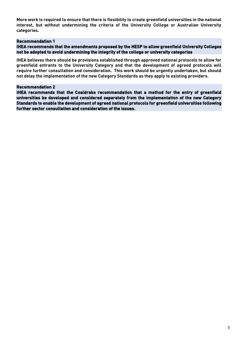More work is required to ensure that there is flexibility to create greenfield universities in the national interest, but without undermining the criteria of the University College or Australian University categories.

## Recommendation 1

## IHEA recommends that the amendments proposed by the HESP to allow greenfield University Colleges not be adopted to avoid undermining the integrity of the college or university categories

IHEA believes there should be provisions established through approved national protocols to allow for greenfield entrants to the University Category and that the development of agreed protocols will require further consultation and consideration. This work should be urgently undertaken, but should not delay the implementation of the new Category Standards as they apply to existing providers.

#### Recommendation 2

IHEA recommends that the Coaldrake recommendation that a method for the entry of greenfield universities be developed and considered separately from the implementation of the new Category Standards to enable the development of agreed national protocols for greenfield universities following further sector consultation and consideration of the issues.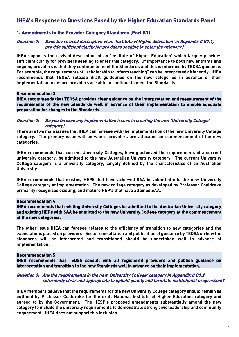# IHEA's Response to Questions Posed by the Higher Education Standards Panel

# 1. Amendments to the Provider Category Standards (Part B1)

#### Question 1: Does the revised description of an 'Institute of Higher Education' in Appendix C B1.1, provide sufficient clarity for providers seeking to enter the category?

IHEA supports the revised description of an 'Institute of Higher Education' which largely provides sufficient clarity for providers seeking to enter this category. Of importance to both new entrants and ongoing providers is that they continue to meet the Standards and this is informed by TEQSA guidance. For example, the requirements of "scholarship to inform teaching" can be interpreted differently. IHEA recommends that TEQSA release draft guidelines on the new categories in advance of their implementation to ensure providers are able to continue to meet the Standards.

#### Recommendation 3

IHEA recommends that TEQSA provides clear guidance on the interpretation and measurement of the requirements of the new Standards well in advance of their implementation to enable adequate preparation for changes to the Standards.

#### Question 2: Do you foresee any implementation issues in creating the new 'University College' category?

There are two main issues that IHEA can foresee with the implementation of the new University College category. The primary issue will be where providers are allocated on commencement of the new categories.

IHEA recommends that current University Colleges, having achieved the requirements of a current university category, be admitted to the new Australian University category. The current University College category is a university category, largely defined by the characteristics of an Australian University.

IHEA recommends that existing HEPS that have achieved SAA be admitted into the new University College category at implementation. The new college category as developed by Professor Coaldrake primarily recognises existing, and mature HEP's that have attained SAA.

#### Recommendation 4

IHEA recommends that existing University Colleges be admitted to the Australian University category and existing HEPs with SAA be admitted to the new University College category at the commencement of the new categories.

The other issue IHEA can foresee relates to the efficiency of transition to new categories and the expectations placed on providers. Sector consultation and publication of guidance by TEQSA on how the standards will be interpreted and transitioned should be undertaken well in advance of implementation.

#### Recommendation 5

IHEA recommends that TEQSA consult with all registered providers and publish guidance on interpretation and transition to the new Standards well in advance on their implementation.

#### Question 3: Are the requirements in the new 'University College' category in Appendix C B1.2 sufficiently clear and appropriate to uphold quality and facilitate institutional progression?

IHEA members believe that the requirements for the new University College category should remain as outlined by Professor Coaldrake for the draft National Institute of Higher Education category and agreed to by the Government. The HESP's proposed amendments substantially amend the new category to include the university requirements to demonstrate strong civic leadership and community engagement. IHEA does not support this inclusion.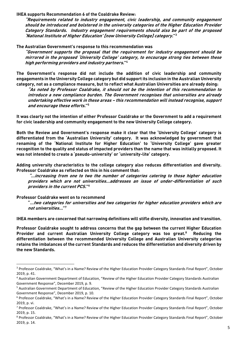IHEA supports Recommendation 6 of the Coaldrake Review:

"Requirements related to industry engagement, civic leadership, and community engagement should be introduced and bolstered in the university categories of the Higher Education Provider Category Standards. Industry engagement requirements should also be part of the proposed 'National Institute of Higher Education' [now University College] category." 3

## The Australian Government's response to this recommendation was

"Government supports the proposal that the requirement for industry engagement should be mirrored in the proposed 'University College' category, to encourage strong ties between these high performing providers and industry partners." 4

The Government's response did not include the addition of civic leadership and community engagements in the University College category but did support its inclusion in the Australian University category, not as a compliance measure, but to reflect what Australian Universities are already doing:

"As noted by Professor Coaldrake, it should not be the intention of this recommendation to introduce a new compliance burden. The Government recognises that universities are already undertaking effective work in these areas – this recommendation will instead recognise, support and encourage these efforts." 5

It was clearly not the intention of either Professor Coaldrake or the Government to add a requirement for civic leadership and community engagement to the new University College category.

Both the Review and Government's response make it clear that the 'University College' category is differentiated from the 'Australian University' category. It was acknowledged by government that renaming of the 'National Institute for Higher Education' to 'University College' gave greater recognition to the quality and status of impacted providers than the name that was initially proposed. It was not intended to create a 'pseudo-university' or 'university-lite' category.

Adding university characteristics to the college category also reduces differentiation and diversity. Professor Coaldrake as reflected on this in his comment that:

"…increasing from one to two the number of categories catering to those higher education providers which are not universities…addresses an issue of under-differentiation of such providers in the current PCS." 6

#### Professor Coaldrake went on to recommend

"…two categories for universities and two categories for higher education providers which are not universities…" 7

IHEA members are concerned that narrowing definitions will stifle diversity, innovation and transition.

Professor Coaldrake sought to address concerns that the gap between the current Higher Education Provider and current Australian University College category was too great.<sup>8</sup> Reducing the differentiation between the recommended University College and Australian University categories retains the imbalances of the current Standards and reduces the differentiation and diversity driven by the new Standards.

<sup>&</sup>lt;sup>3</sup> Professor Coaldrake, "What's in a Name? Review of the Higher Education Provider Category Standards Final Report", October 2019, p. 41.

<sup>4</sup> Australian Government Department of Education, "Review of the Higher Education Provider Category Standards Australian Government Response", December 2019, p. 9.

<sup>5</sup> Australian Government Department of Education, "Review of the Higher Education Provider Category Standards Australian Government Response", December 2019, p. 10.

<sup>&</sup>lt;sup>6</sup> Professor Coaldrake, "What's in a Name? Review of the Higher Education Provider Category Standards Final Report", October 2019, p. vi.

<sup>&</sup>lt;sup>7</sup> Professor Coaldrake, "What's in a Name? Review of the Higher Education Provider Category Standards Final Report", October 2019, p. 15.

<sup>8</sup> Professor Coaldrake, "What's in a Name? Review of the Higher Education Provider Category Standards Final Report", October 2019, p. 14.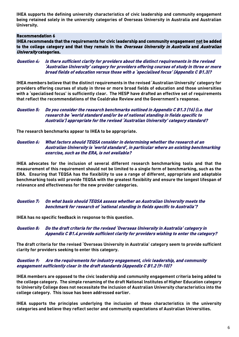IHEA supports the defining university characteristics of civic leadership and community engagement being retained solely in the university categories of Overseas University in Australia and Australian University.

#### Recommendation 6

IHEA recommends that the requirements for civic leadership and community engagement not be added to the college category and that they remain in the Overseas University in Australia and Australian University categories.

#### Question 4: Is there sufficient clarity for providers about the distinct requirements in the revised 'Australian University' category for providers offering courses of study in three or more broad fields of education versus those with a 'specialised focus' (Appendix C B1.3)?

IHEA members believe that the distinct requirements in the revised 'Australian University' category for providers offering courses of study in three or more broad fields of education and those universities with a 'specialised focus' is sufficiently clear. The HESP have drafted an effective set of requirements that reflect the recommendations of the Coaldrake Review and the Government's response.

#### Question 5: Do you consider the research benchmarks outlined in Appendix C B1.3 (16) (i.e. that research be 'world standard and/or be of national standing in fields specific to Australia') appropriate for the revised 'Australian University' category standard?

The research benchmarks appear to IHEA to be appropriate.

#### Question 6: What factors should TEQSA consider in determining whether the research at an Australian University is 'world standard', in particular where an existing benchmarking exercise, such as the ERA, is not available?

IHEA advocates for the inclusion of several different research benchmarking tools and that the measurement of this requirement should not be limited to a single form of benchmarking, such as the ERA. Ensuring that TEQSA has the flexibility to use a range of different, appropriate and adaptable benchmarking tools will provide TEQSA with the greatest flexibility and ensure the longest lifespan of relevance and effectiveness for the new provider categories.

## Question 7: On what basis should TEQSA assess whether an Australian University meets the benchmark for research of 'national standing in fields specific to Australia'?

IHEA has no specific feedback in response to this question.

## Question 8: Do the draft criteria for the revised 'Overseas University in Australia' category in Appendix C B1.4 provide sufficient clarity for providers wishing to enter the category?

The draft criteria for the revised 'Overseas University in Australia' category seem to provide sufficient clarity for providers seeking to enter this category.

## Question 9: Are the requirements for industry engagement, civic leadership, and community engagement sufficiently clear in the draft standards (Appendix C B1.2 (9-10)?

IHEA members are opposed to the civic leadership and community engagement criteria being added to the college category. The simple renaming of the draft National Institutes of Higher Education category to University College does not necessitate the inclusion of Australian University characteristics into the college category. This issue has been addressed earlier.

IHEA supports the principles underlying the inclusion of these characteristics in the university categories and believe they reflect sector and community expectations of Australian Universities.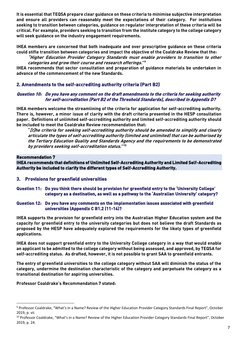It is essential that TEQSA prepare clear guidance on these criteria to minimise subjective interpretation and ensure all providers can reasonably meet the expectations of their category. For institutions seeking to transition between categories, guidance on regulator interpretation of these criteria will be critical. For example, providers seeking to transition from the institute category to the college category will seek guidance on the industry engagement requirements.

IHEA members are concerned that both inadequate and over prescriptive guidance on these criteria could stifle transition between categories and impact the objective of the Coaldrake Review that the:

"Higher Education Provider Category Standards must enable providers to transition to other categories and grow their course and research offerings." 9

IHEA recommends that sector consultation and preparation of guidance materials be undertaken in advance of the commencement of the new Standards.

# 2. Amendments to the self-accrediting authority criteria (Part B2)

## Question 10: Do you have any comment on the draft amendments to the criteria for seeking authority for self-accreditation (Part B2 of the Threshold Standards), described in Appendix D?

IHEA members welcome the streamlining of the criteria for application for self-accrediting authority. There is, however, a minor issue of clarity with the draft criteria presented in the HESP consultation paper. Definitions of unlimited self-accrediting authority and limited self-accrediting authority should be included to meet the Coaldrake Review recommendation that:

"[t]he criteria for seeking self-accrediting authority should be amended to simplify and clearly articulate the types of self-accrediting authority (limited and unlimited) that can be authorised by the Tertiary Education Quality and Standards Agency and the requirements to be demonstrated by providers seeking self-accreditation status."<sup>10</sup>

#### Recommendation 7

IHEA recommends that definitions of Unlimited Self-Accrediting Authority and Limited Self-Accrediting Authority be included to clarify the different types of Self-Accrediting Authority.

- 3. Provisions for greenfield universities
- Question 11: Do you think there should be provision for greenfield entry to the 'University College' category as a destination, as well as a pathway to the 'Australian University' category?

#### Question 12: Do you have any comments on the implementation issues associated with greenfield universities (Appendix C B1.2 (11-14)?

IHEA supports the provision for greenfield entry into the Australian Higher Education system and the capacity for greenfield entry to the university categories but does not believe the draft Standards as proposed by the HESP have adequately explored the requirements for the likely types of greenfield applications.

IHEA does not support greenfield entry to the University College category in a way that would enable an applicant to be admitted to the college category without being assessed, and approved, by TEQSA for self-accrediting status. As drafted, however, it is not possible to grant SAA to greenfield entrants.

The entry of greenfield universities to the college category without SAA will diminish the status of the category, undermine the destination characteristic of the category and perpetuate the category as a transitional destination for aspiring universities.

Professor Coaldrake's Recommendation 7 stated:

<sup>9</sup> Professor Coaldrake, "What's in a Name? Review of the Higher Education Provider Category Standards Final Report", October 2019, p. vii.

<sup>&</sup>lt;sup>10</sup> Professor Coaldrake, "What's in a Name? Review of the Higher Education Provider Category Standards Final Report", October 2019, p. 24.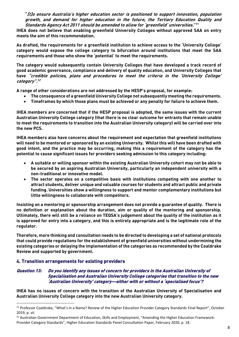"[t]o ensure Australia's higher education sector is positioned to support innovation, population growth, and demand for higher education in the future, the Tertiary Education Quality and Standards Agency Act 2011 should be amended to allow for 'greenfield' universities." 11

IHEA does not believe that enabling greenfield University Colleges without approved SAA on entry meets the aim of this recommendation.

As drafted, the requirements for a greenfield institution to achieve access to the 'University College' category would expose the college category to bifurcation around institutions that meet the SAA requirements and those who show the 'potential' to meet the requirements.

The category would subsequently contain University Colleges that have developed a track record of good academic governance, compliance and delivery of quality education, and University Colleges that have "credible policies, plans and procedures to meet the criteria in the 'University College' category". 12

A range of other considerations are not addressed by the HESP's proposal, for example:

- The consequence of a greenfield University College not subsequently meeting the requirements.
- Timeframes by which those plans must be achieved or any penalty for failure to achieve them.

IHEA members are concerned that if the HESP proposal is adopted, the same issues with the current Australian University College category (that there is no clear outcome for entrants that remain unable to meet the requirements to transition into the Australian University category) will be carried over into the new PCS.

IHEA members also have concerns about the requirement and expectation that greenfield institutions will need to be mentored or sponsored by an existing University. Whilst this will have been drafted with good intent, and the practice may be occurring, making this a requirement of the category has the potential to cause significant issues for providers seeking admission to this category including:

- A suitable or willing sponsor within the existing Australian University cohort may not be able to be secured by an aspiring Australian University, particularly an independent university with a non-traditional or innovative model.
- The sector operates on a competitive basis with institutions competing with one another to attract students, deliver unique and valuable courses for students and attract public and private funding. Universities show a willingness to support and mentor complementary institutions but little willingness to collaborate with competitors.

Insisting on a mentoring or sponsorship arrangement does not provide a guarantee of quality. There is no definition or explanation about the duration, aim or quality of the mentoring and sponsorship. Ultimately, there will still be a reliance on TEQSA's judgement about the quality of the institution as it is approved for entry into a category, and this is entirely appropriate and is the legitimate role of the regulator.

Therefore, more thinking and consultation needs to be directed to developing a set of national protocols that could provide regulations for the establishment of greenfield universities without undermining the existing categories or delaying the implementation of the categories as recommended by the Coaldrake Review and supported by government.

# 4. Transition arrangements for existing providers

## Question 13: Do you identify any issues of concern for providers in the Australian University of Specialisation and Australian University College categories that transition to the new 'Australian University' category—either with or without a 'specialised focus'?

IHEA has no issues of concern with the transition of the Australian University of Specialisation and Australian University College category into the new Australian University category.

<sup>&</sup>lt;sup>11</sup> Professor Coaldrake, "What's in a Name? Review of the Higher Education Provider Category Standards Final Report", October 2019, p. vii.

<sup>&</sup>lt;sup>12</sup> Australian Government Department of Education, Skills and Employment, "Amending the Higher Education Framework: Provider Category Standards", Higher Education Standards Panel Consultation Paper, February 2020, p. 18.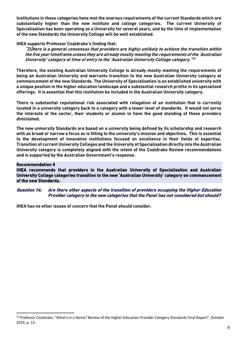Institutions in these categories have met the onerous requirements of the current Standards which are substantially higher than the new institute and college categories. The current University of Specialisation has been operating as a University for several years, and by the time of implementation of the new Standards the University College will be well established.

#### IHEA supports Professor Coaldrake's finding that:

"[t]here is a general consensus that providers are highly unlikely to achieve the transition within the five year timeframe unless they are already mostly meeting the requirements of the 'Australian University' category at time of entry to the 'Australian University College category." 13

Therefore, the existing Australian University College is already mostly meeting the requirements of being an Australian University and warrants transition to the new Australian University category at commencement of the new Standards. The University of Specialisation is an established university with a unique position in the higher education landscape and a substantial research profile in its specialised offerings. It is essential that this institution be included in the Australian University category.

There is substantial reputational risk associated with relegation of an institution that is currently located in a university category back to a category with a lower level of standards. It would not serve the interests of the sector, their students or alumni to have the good standing of these providers diminished.

The new university Standards are based on a university being defined by its scholarship and research with as broad or narrow a focus as is fitting to the university's mission and objectives. This is essential to the development of innovative institutions focused on excellence in their fields of expertise. Transition of current University Colleges and the University of Specialisation directly into the Australian University category is completely aligned with the intent of the Coaldrake Review recommendations and is supported by the Australian Government's response.

#### Recommendation 8

IHEA recommends that providers in the Australian University of Specialisation and Australian University College categories transition to the new 'Australian University' category on commencement of the new Standards.

Question 14: Are there other aspects of the transition of providers occupying the Higher Education Provider category to the new categories that the Panel has not considered but should?

IHEA has no other issues of concern that the Panel should consider.

<sup>13</sup> Professor Coaldrake, "What's in a Name? Review of the Higher Education Provider Category Standards Final Report", October 2019, p. 13.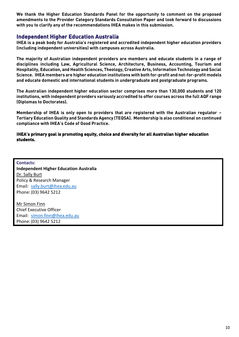We thank the Higher Education Standards Panel for the opportunity to comment on the proposed amendments to the Provider Category Standards Consultation Paper and look forward to discussions with you to clarify any of the recommendations IHEA makes in this submission.

# Independent Higher Education Australia

IHEA is a peak body for Australia's registered and accredited independent higher education providers (including independent universities) with campuses across Australia.

The majority of Australian independent providers are members and educate students in a range of disciplines including Law, Agricultural Science, Architecture, Business, Accounting, Tourism and Hospitality, Education, and Health Sciences, Theology, Creative Arts, Information Technology and Social Science. IHEA members are higher education institutions with both for-profit and not-for-profit models and educate domestic and international students in undergraduate and postgraduate programs.

The Australian independent higher education sector comprises more than 130,000 students and 120 institutions, with independent providers variously accredited to offer courses across the full AQF range (Diplomas to Doctorates).

Membership of IHEA is only open to providers that are registered with the Australian regulator – Tertiary Education Quality and Standards Agency (TEQSA). Membership is also conditional on continued compliance with IHEA's Code of Good Practice.

IHEA's primary goal is promoting equity, choice and diversity for all Australian higher education students.

**Contacts: Independent Higher Education Australia** Dr. Sally Burt Policy & Research Manager Email: [sally.burt@ihea.edu.au](mailto:sally.burt@ihea.edu.au) Phone:(03) 9642 5212

Mr Simon Finn Chief Executive Officer Email: [simon.finn@ihea.edu.au](mailto:simon.finn@ihea.edu.au) Phone:(03) 9642 5212